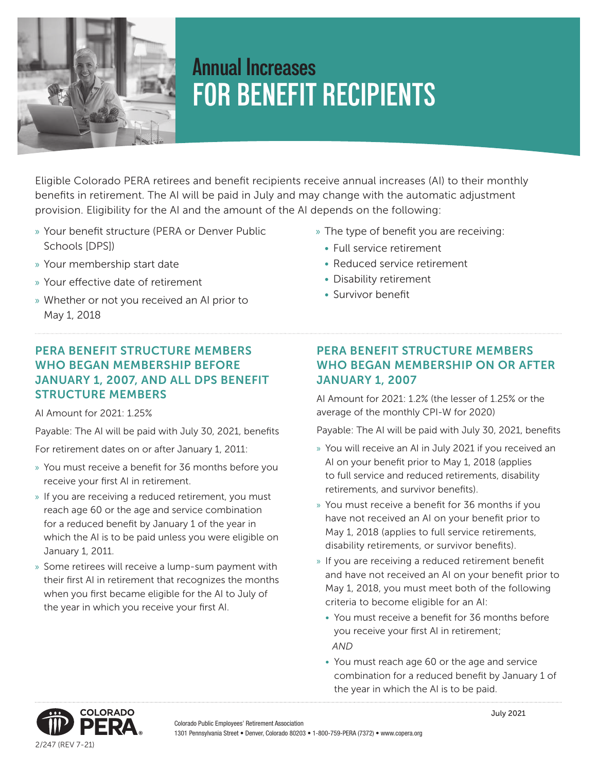

# **Annual Increases FOR BENEFIT RECIPIENTS**

Eligible Colorado PERA retirees and benefit recipients receive annual increases (AI) to their monthly benefits in retirement. The AI will be paid in July and may change with the automatic adjustment provision. Eligibility for the AI and the amount of the AI depends on the following:

- » Your benefit structure (PERA or Denver Public Schools [DPS])
- » Your membership start date
- » Your effective date of retirement
- » Whether or not you received an AI prior to May 1, 2018
- » The type of benefit you are receiving:
	- Full service retirement
	- Reduced service retirement
	- Disability retirement
	- Survivor benefit

## PERA BENEFIT STRUCTURE MEMBERS WHO BEGAN MEMBERSHIP BEFORE JANUARY 1, 2007, AND ALL DPS BENEFIT STRUCTURE MEMBERS

AI Amount for 2021: 1.25%

Payable: The AI will be paid with July 30, 2021, benefits

For retirement dates on or after January 1, 2011:

- » You must receive a benefit for 36 months before you receive your first AI in retirement.
- » If you are receiving a reduced retirement, you must reach age 60 or the age and service combination for a reduced benefit by January 1 of the year in which the AI is to be paid unless you were eligible on January 1, 2011.
- » Some retirees will receive a lump-sum payment with their first AI in retirement that recognizes the months when you first became eligible for the AI to July of the year in which you receive your first AI.

# PERA BENEFIT STRUCTURE MEMBERS WHO BEGAN MEMBERSHIP ON OR AFTER JANUARY 1, 2007

AI Amount for 2021: 1.2% (the lesser of 1.25% or the average of the monthly CPI-W for 2020)

Payable: The AI will be paid with July 30, 2021, benefits

- » You will receive an AI in July 2021 if you received an AI on your benefit prior to May 1, 2018 (applies to full service and reduced retirements, disability retirements, and survivor benefits).
- » You must receive a benefit for 36 months if you have not received an AI on your benefit prior to May 1, 2018 (applies to full service retirements, disability retirements, or survivor benefits).
- » If you are receiving a reduced retirement benefit and have not received an AI on your benefit prior to May 1, 2018, you must meet both of the following criteria to become eligible for an AI:
	- You must receive a benefit for 36 months before you receive your first AI in retirement;  *AND*
	- You must reach age 60 or the age and service combination for a reduced benefit by January 1 of the year in which the AI is to be paid.